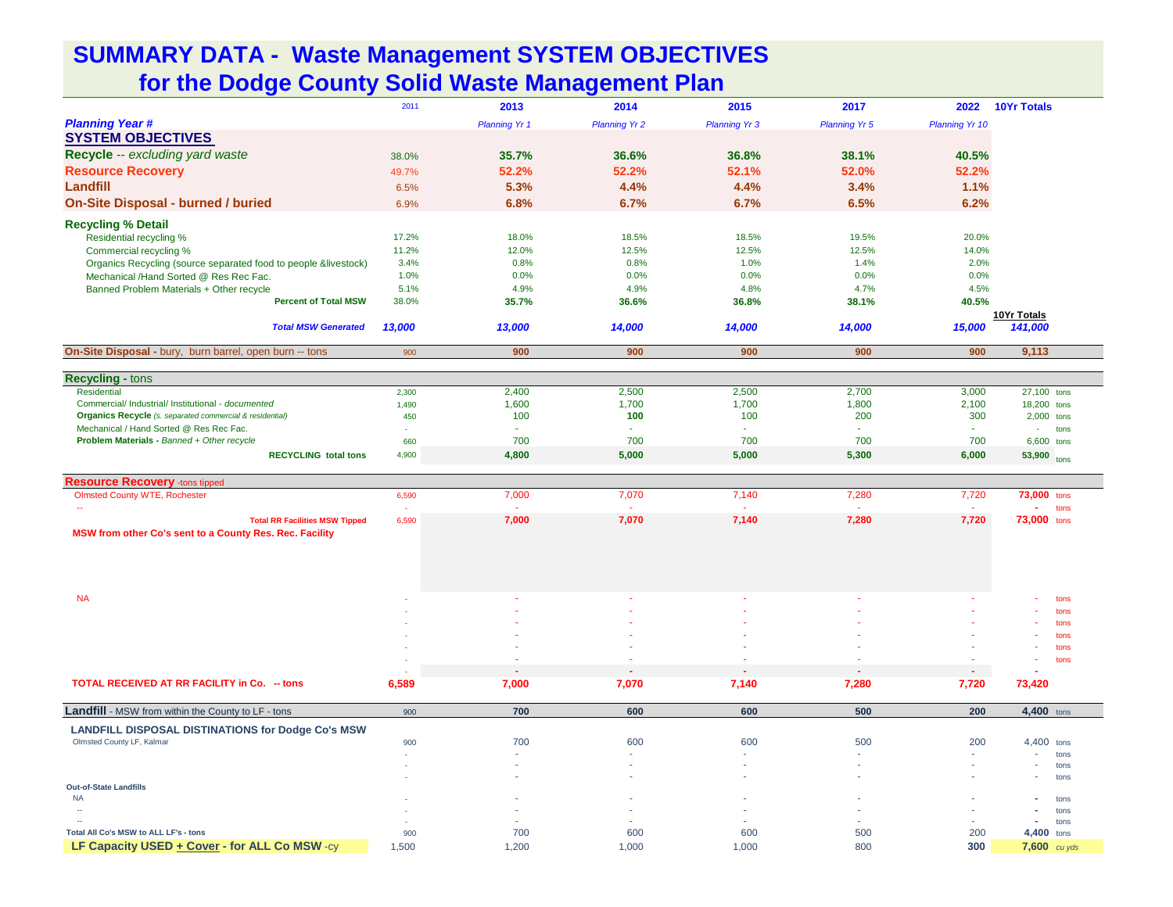## **SUMMARY DATA - Waste Management SYSTEM OBJECTIVES for the Dodge County Solid Waste Management Plan**

|                                                                                                                       | 2011      | 2013                 | 2014                 | 2015                 | 2017                 | 2022                  | <b>10Yr Totals</b>   |
|-----------------------------------------------------------------------------------------------------------------------|-----------|----------------------|----------------------|----------------------|----------------------|-----------------------|----------------------|
| <b>Planning Year #</b>                                                                                                |           | <b>Planning Yr 1</b> | <b>Planning Yr 2</b> | <b>Planning Yr 3</b> | <b>Planning Yr 5</b> | <b>Planning Yr 10</b> |                      |
| <b>SYSTEM OBJECTIVES</b>                                                                                              |           |                      |                      |                      |                      |                       |                      |
| Recycle -- excluding yard waste                                                                                       | 38.0%     | 35.7%                | 36.6%                | 36.8%                | 38.1%                | 40.5%                 |                      |
| <b>Resource Recovery</b>                                                                                              |           | 52.2%                | 52.2%                | 52.1%                | 52.0%                | 52.2%                 |                      |
|                                                                                                                       | 49.7%     |                      |                      |                      |                      |                       |                      |
| Landfill                                                                                                              | 6.5%      | 5.3%                 | 4.4%                 | 4.4%                 | 3.4%                 | 1.1%                  |                      |
| <b>On-Site Disposal - burned / buried</b>                                                                             | 6.9%      | 6.8%                 | 6.7%                 | 6.7%                 | 6.5%                 | 6.2%                  |                      |
| <b>Recycling % Detail</b>                                                                                             |           |                      |                      |                      |                      |                       |                      |
| Residential recycling %                                                                                               | 17.2%     | 18.0%                | 18.5%                | 18.5%                | 19.5%                | 20.0%                 |                      |
| Commercial recycling %                                                                                                | 11.2%     | 12.0%                | 12.5%                | 12.5%                | 12.5%                | 14.0%                 |                      |
| Organics Recycling (source separated food to people &livestock)                                                       | 3.4%      | 0.8%                 | 0.8%                 | 1.0%                 | 1.4%                 | 2.0%                  |                      |
| Mechanical /Hand Sorted @ Res Rec Fac.                                                                                | 1.0%      | 0.0%                 | 0.0%                 | 0.0%                 | 0.0%                 | 0.0%                  |                      |
| Banned Problem Materials + Other recycle                                                                              | 5.1%      | 4.9%                 | 4.9%                 | 4.8%                 | 4.7%                 | 4.5%                  |                      |
| <b>Percent of Total MSW</b>                                                                                           | 38.0%     | 35.7%                | 36.6%                | 36.8%                | 38.1%                | 40.5%                 |                      |
|                                                                                                                       |           |                      |                      |                      |                      |                       | 10Yr Totals          |
| <b>Total MSW Generated</b>                                                                                            | 13,000    | 13,000               | 14,000               | 14,000               | 14,000               | 15,000                | 141,000              |
| On-Site Disposal - bury, burn barrel, open burn -- tons                                                               | 900       | 900                  | 900                  | 900                  | 900                  | 900                   | 9,113                |
|                                                                                                                       |           |                      |                      |                      |                      |                       |                      |
| <b>Recycling - tons</b>                                                                                               |           |                      |                      |                      |                      |                       |                      |
| <b>Residential</b>                                                                                                    | 2,300     | 2,400                | 2,500                | 2,500                | 2,700                | 3,000                 | 27,100 tons          |
| Commercial/ Industrial/ Institutional - documented<br><b>Organics Recycle</b> (s. separated commercial & residential) | 1,490     | 1,600                | 1,700<br>100         | 1,700<br>100         | 1,800<br>200         | 2,100<br>300          | 18,200 tons          |
| Mechanical / Hand Sorted @ Res Rec Fac.                                                                               | 450<br>×. | 100<br>×,            |                      | $\sim$               | $\omega$             |                       | $2,000$ tons<br>tons |
| Problem Materials - Banned + Other recycle                                                                            | 660       | 700                  | 700                  | 700                  | 700                  | 700                   | 6,600 tons           |
| <b>RECYCLING total tons</b>                                                                                           | 4,900     | 4,800                | 5,000                | 5,000                | 5,300                | 6,000                 | 53,900               |
|                                                                                                                       |           |                      |                      |                      |                      |                       | tons                 |
| <b>Resource Recovery -tons tipped</b>                                                                                 |           |                      |                      |                      |                      |                       |                      |
| <b>Olmsted County WTE, Rochester</b>                                                                                  | 6,590     | 7,000                | 7,070                | 7,140                | 7,280                | 7,720                 | 73,000 tons          |
|                                                                                                                       |           |                      |                      |                      |                      |                       | tons                 |
| <b>Total RR Facilities MSW Tipped</b>                                                                                 | 6,590     | 7,000                | 7,070                | 7,140                | 7,280                | 7,720                 | 73,000 tons          |
| MSW from other Co's sent to a County Res. Rec. Facility                                                               |           |                      |                      |                      |                      |                       |                      |
|                                                                                                                       |           |                      |                      |                      |                      |                       |                      |
|                                                                                                                       |           |                      |                      |                      |                      |                       |                      |
|                                                                                                                       |           |                      |                      |                      |                      |                       |                      |
|                                                                                                                       |           |                      |                      |                      |                      |                       |                      |
| <b>NA</b>                                                                                                             |           |                      |                      |                      |                      |                       | tons<br>tons         |
|                                                                                                                       |           |                      |                      |                      |                      |                       | tons                 |
|                                                                                                                       |           |                      |                      |                      |                      |                       | tons                 |
|                                                                                                                       |           |                      |                      |                      |                      |                       | tons                 |
|                                                                                                                       |           |                      |                      |                      |                      |                       | tons                 |
|                                                                                                                       |           |                      |                      |                      |                      | ÷.                    |                      |
| TOTAL RECEIVED AT RR FACILITY in Co. - tons                                                                           | 6,589     | 7,000                | 7,070                | 7,140                | 7,280                | 7,720                 | 73,420               |
| Landfill - MSW from within the County to LF - tons                                                                    | 900       | 700                  | 600                  | 600                  | 500                  | 200                   | 4,400 tons           |
| <b>LANDFILL DISPOSAL DISTINATIONS for Dodge Co's MSW</b>                                                              |           |                      |                      |                      |                      |                       |                      |
| Olmsted County LF, Kalmar                                                                                             | 900       | 700                  | 600                  | 600                  | 500                  | 200                   | 4,400 tons           |
|                                                                                                                       |           |                      |                      |                      | ٠                    |                       | tons                 |
|                                                                                                                       |           |                      |                      |                      |                      |                       | tons                 |
|                                                                                                                       |           |                      |                      |                      |                      | ä,                    | tons                 |
| <b>Out-of-State Landfills</b><br><b>NA</b>                                                                            |           |                      |                      |                      |                      |                       | tons                 |
| $\sim$                                                                                                                |           |                      |                      |                      |                      |                       | tons                 |
|                                                                                                                       |           |                      |                      |                      |                      |                       | tons                 |
| Total All Co's MSW to ALL LF's - tons                                                                                 | 900       | 700                  | 600                  | 600                  | 500                  | 200                   | 4,400<br>tons        |
| LF Capacity USED + Cover - for ALL Co MSW -cy                                                                         | 1,500     | 1,200                | 1,000                | 1,000                | 800                  | 300                   | $7,600$ cu yds       |